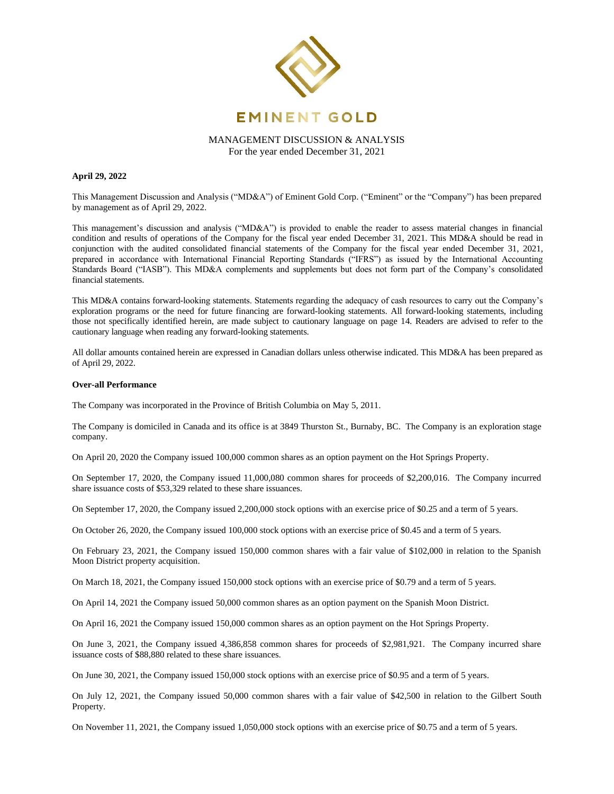

## **April 29, 2022**

This Management Discussion and Analysis ("MD&A") of Eminent Gold Corp. ("Eminent" or the "Company") has been prepared by management as of April 29, 2022.

This management's discussion and analysis ("MD&A") is provided to enable the reader to assess material changes in financial condition and results of operations of the Company for the fiscal year ended December 31, 2021. This MD&A should be read in conjunction with the audited consolidated financial statements of the Company for the fiscal year ended December 31, 2021, prepared in accordance with International Financial Reporting Standards ("IFRS") as issued by the International Accounting Standards Board ("IASB"). This MD&A complements and supplements but does not form part of the Company's consolidated financial statements.

This MD&A contains forward-looking statements. Statements regarding the adequacy of cash resources to carry out the Company's exploration programs or the need for future financing are forward-looking statements. All forward-looking statements, including those not specifically identified herein, are made subject to cautionary language on page 14. Readers are advised to refer to the cautionary language when reading any forward-looking statements.

All dollar amounts contained herein are expressed in Canadian dollars unless otherwise indicated. This MD&A has been prepared as of April 29, 2022.

## **Over-all Performance**

The Company was incorporated in the Province of British Columbia on May 5, 2011.

The Company is domiciled in Canada and its office is at 3849 Thurston St., Burnaby, BC. The Company is an exploration stage company.

On April 20, 2020 the Company issued 100,000 common shares as an option payment on the Hot Springs Property.

On September 17, 2020, the Company issued 11,000,080 common shares for proceeds of \$2,200,016. The Company incurred share issuance costs of \$53,329 related to these share issuances.

On September 17, 2020, the Company issued 2,200,000 stock options with an exercise price of \$0.25 and a term of 5 years.

On October 26, 2020, the Company issued 100,000 stock options with an exercise price of \$0.45 and a term of 5 years.

On February 23, 2021, the Company issued 150,000 common shares with a fair value of \$102,000 in relation to the Spanish Moon District property acquisition.

On March 18, 2021, the Company issued 150,000 stock options with an exercise price of \$0.79 and a term of 5 years.

On April 14, 2021 the Company issued 50,000 common shares as an option payment on the Spanish Moon District.

On April 16, 2021 the Company issued 150,000 common shares as an option payment on the Hot Springs Property.

On June 3, 2021, the Company issued 4,386,858 common shares for proceeds of \$2,981,921. The Company incurred share issuance costs of \$88,880 related to these share issuances.

On June 30, 2021, the Company issued 150,000 stock options with an exercise price of \$0.95 and a term of 5 years.

On July 12, 2021, the Company issued 50,000 common shares with a fair value of \$42,500 in relation to the Gilbert South Property.

On November 11, 2021, the Company issued 1,050,000 stock options with an exercise price of \$0.75 and a term of 5 years.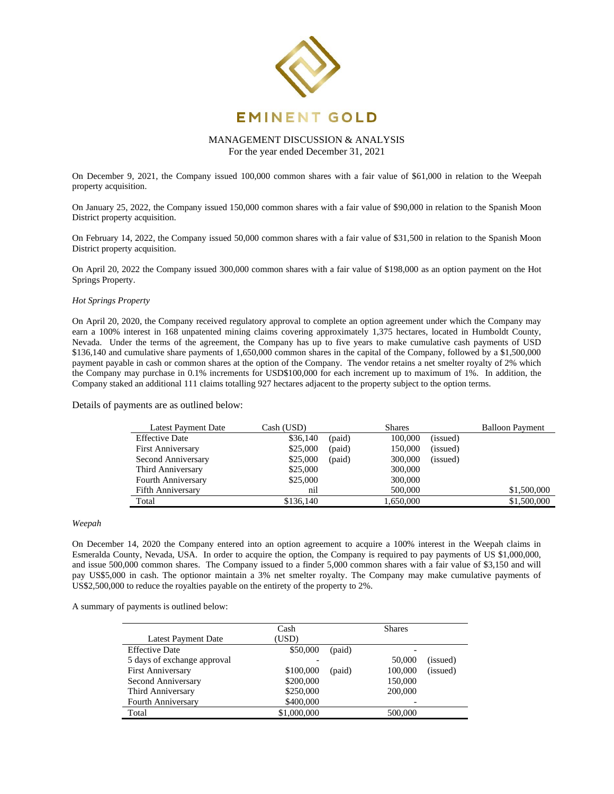

# MANAGEMENT DISCUSSION & ANALYSIS

For the year ended December 31, 2021

On December 9, 2021, the Company issued 100,000 common shares with a fair value of \$61,000 in relation to the Weepah property acquisition.

On January 25, 2022, the Company issued 150,000 common shares with a fair value of \$90,000 in relation to the Spanish Moon District property acquisition.

On February 14, 2022, the Company issued 50,000 common shares with a fair value of \$31,500 in relation to the Spanish Moon District property acquisition.

On April 20, 2022 the Company issued 300,000 common shares with a fair value of \$198,000 as an option payment on the Hot Springs Property.

## *Hot Springs Property*

On April 20, 2020, the Company received regulatory approval to complete an option agreement under which the Company may earn a 100% interest in 168 unpatented mining claims covering approximately 1,375 hectares, located in Humboldt County, Nevada. Under the terms of the agreement, the Company has up to five years to make cumulative cash payments of USD \$136,140 and cumulative share payments of 1,650,000 common shares in the capital of the Company, followed by a \$1,500,000 payment payable in cash or common shares at the option of the Company. The vendor retains a net smelter royalty of 2% which the Company may purchase in 0.1% increments for USD\$100,000 for each increment up to maximum of 1%. In addition, the Company staked an additional 111 claims totalling 927 hectares adjacent to the property subject to the option terms.

Details of payments are as outlined below:

| Latest Payment Date      | Cash (USD) |        | <b>Shares</b> |          | <b>Balloon Payment</b> |
|--------------------------|------------|--------|---------------|----------|------------------------|
| <b>Effective Date</b>    | \$36,140   | (paid) | 100,000       | (issued) |                        |
| <b>First Anniversary</b> | \$25,000   | (paid) | 150,000       | (issued) |                        |
| Second Anniversary       | \$25,000   | (paid) | 300,000       | (issued) |                        |
| Third Anniversary        | \$25,000   |        | 300,000       |          |                        |
| Fourth Anniversary       | \$25,000   |        | 300,000       |          |                        |
| <b>Fifth Anniversary</b> | nil        |        | 500,000       |          | \$1,500,000            |
| Total                    | \$136,140  |        | 1,650,000     |          | \$1,500,000            |

## *Weepah*

On December 14, 2020 the Company entered into an option agreement to acquire a 100% interest in the Weepah claims in Esmeralda County, Nevada, USA. In order to acquire the option, the Company is required to pay payments of US \$1,000,000, and issue 500,000 common shares. The Company issued to a finder 5,000 common shares with a fair value of \$3,150 and will pay US\$5,000 in cash. The optionor maintain a 3% net smelter royalty. The Company may make cumulative payments of US\$2,500,000 to reduce the royalties payable on the entirety of the property to 2%.

A summary of payments is outlined below:

|                             | Cash        |        | <b>Shares</b> |          |  |
|-----------------------------|-------------|--------|---------------|----------|--|
| <b>Latest Payment Date</b>  | (USD)       |        |               |          |  |
| <b>Effective Date</b>       | \$50,000    | (paid) |               |          |  |
| 5 days of exchange approval |             |        | 50,000        | (issued) |  |
| <b>First Anniversary</b>    | \$100,000   | (paid) | 100,000       | (issued) |  |
| Second Anniversary          | \$200,000   |        | 150,000       |          |  |
| Third Anniversary           | \$250,000   |        | 200,000       |          |  |
| <b>Fourth Anniversary</b>   | \$400,000   |        |               |          |  |
| Total                       | \$1,000,000 |        | 500,000       |          |  |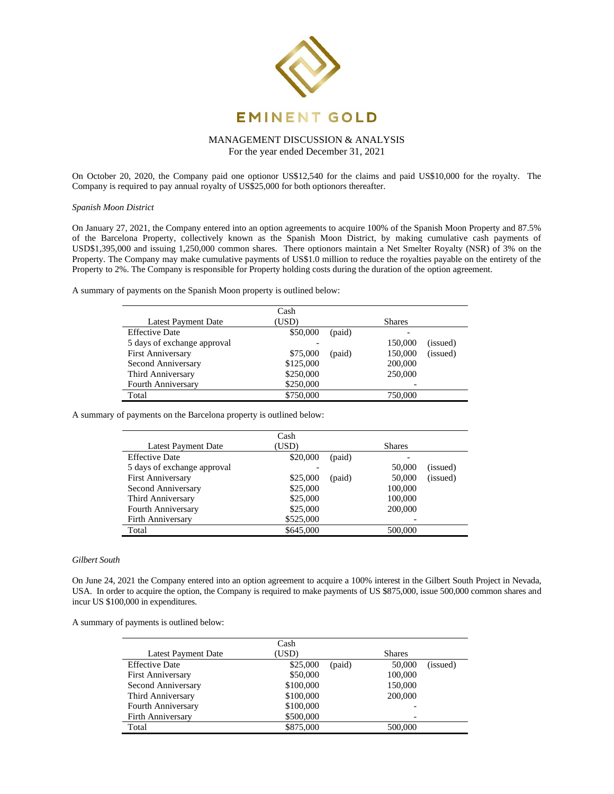

On October 20, 2020, the Company paid one optionor US\$12,540 for the claims and paid US\$10,000 for the royalty. The Company is required to pay annual royalty of US\$25,000 for both optionors thereafter.

*Spanish Moon District*

On January 27, 2021, the Company entered into an option agreements to acquire 100% of the Spanish Moon Property and 87.5% of the Barcelona Property, collectively known as the Spanish Moon District, by making cumulative cash payments of USD\$1,395,000 and issuing 1,250,000 common shares. There optionors maintain a Net Smelter Royalty (NSR) of 3% on the Property. The Company may make cumulative payments of US\$1.0 million to reduce the royalties payable on the entirety of the Property to 2%. The Company is responsible for Property holding costs during the duration of the option agreement.

A summary of payments on the Spanish Moon property is outlined below:

|                             | Cash      |        |               |          |  |
|-----------------------------|-----------|--------|---------------|----------|--|
| <b>Latest Payment Date</b>  | (USD)     |        | <b>Shares</b> |          |  |
| <b>Effective Date</b>       | \$50,000  | (paid) |               |          |  |
| 5 days of exchange approval |           |        | 150,000       | (issued) |  |
| <b>First Anniversary</b>    | \$75,000  | (paid) | 150,000       | (issued) |  |
| Second Anniversary          | \$125,000 |        | 200,000       |          |  |
| Third Anniversary           | \$250,000 |        | 250,000       |          |  |
| <b>Fourth Anniversary</b>   | \$250,000 |        | -             |          |  |
| Total                       | \$750,000 |        | 750.000       |          |  |

A summary of payments on the Barcelona property is outlined below:

|                             | Cash      |               |         |          |
|-----------------------------|-----------|---------------|---------|----------|
| <b>Latest Payment Date</b>  | (USD)     | <b>Shares</b> |         |          |
| <b>Effective Date</b>       | \$20,000  | (paid)        |         |          |
| 5 days of exchange approval |           |               | 50,000  | (issued) |
| <b>First Anniversary</b>    | \$25,000  | (paid)        | 50,000  | (issued) |
| Second Anniversary          | \$25,000  |               | 100,000 |          |
| Third Anniversary           | \$25,000  |               | 100,000 |          |
| Fourth Anniversary          | \$25,000  |               | 200,000 |          |
| <b>Firth Anniversary</b>    | \$525,000 |               |         |          |
| Total                       | \$645,000 |               | 500,000 |          |

#### *Gilbert South*

On June 24, 2021 the Company entered into an option agreement to acquire a 100% interest in the Gilbert South Project in Nevada, USA. In order to acquire the option, the Company is required to make payments of US \$875,000, issue 500,000 common shares and incur US \$100,000 in expenditures.

A summary of payments is outlined below:

|                          | Cash      |        |               |          |
|--------------------------|-----------|--------|---------------|----------|
| Latest Payment Date      | (USD)     |        | <b>Shares</b> |          |
| <b>Effective Date</b>    | \$25,000  | (paid) | 50,000        | (issued) |
| <b>First Anniversary</b> | \$50,000  |        | 100,000       |          |
| Second Anniversary       | \$100,000 |        | 150,000       |          |
| Third Anniversary        | \$100,000 |        | 200,000       |          |
| Fourth Anniversary       | \$100,000 |        |               |          |
| <b>Firth Anniversary</b> | \$500,000 |        |               |          |
| Total                    | \$875,000 |        | 500,000       |          |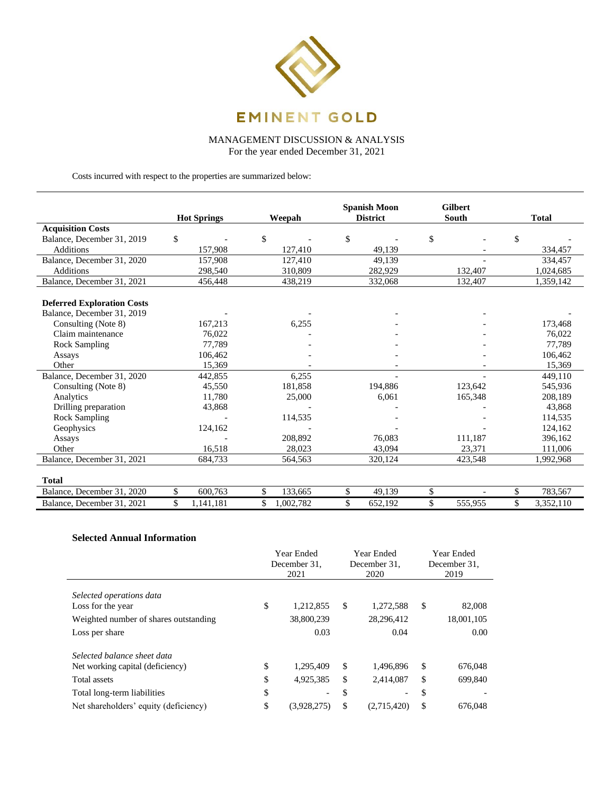

MANAGEMENT DISCUSSION & ANALYSIS

For the year ended December 31, 2021

Costs incurred with respect to the properties are summarized below:

|                                   | <b>Hot Springs</b> | Weepah          | <b>Spanish Moon</b> |         | <b>District</b> |         | <b>Gilbert</b><br>South |  | <b>Total</b> |
|-----------------------------------|--------------------|-----------------|---------------------|---------|-----------------|---------|-------------------------|--|--------------|
| <b>Acquisition Costs</b>          |                    |                 |                     |         |                 |         |                         |  |              |
| Balance, December 31, 2019        | \$                 | \$              | \$                  |         | \$              |         | \$                      |  |              |
| <b>Additions</b>                  | 157,908            | 127,410         |                     | 49,139  |                 |         | 334,457                 |  |              |
| Balance, December 31, 2020        | 157,908            | 127,410         |                     | 49,139  |                 |         | 334,457                 |  |              |
| Additions                         | 298,540            | 310,809         |                     | 282,929 |                 | 132,407 | 1,024,685               |  |              |
| Balance, December 31, 2021        | 456,448            | 438,219         |                     | 332,068 |                 | 132,407 | 1,359,142               |  |              |
|                                   |                    |                 |                     |         |                 |         |                         |  |              |
| <b>Deferred Exploration Costs</b> |                    |                 |                     |         |                 |         |                         |  |              |
| Balance, December 31, 2019        |                    |                 |                     |         |                 |         |                         |  |              |
| Consulting (Note 8)               | 167,213            | 6,255           |                     |         |                 |         | 173,468                 |  |              |
| Claim maintenance                 | 76,022             |                 |                     |         |                 |         | 76,022                  |  |              |
| <b>Rock Sampling</b>              | 77,789             |                 |                     |         |                 |         | 77,789                  |  |              |
| Assays                            | 106,462            |                 |                     |         |                 |         | 106,462                 |  |              |
| Other                             | 15,369             |                 |                     |         |                 |         | 15,369                  |  |              |
| Balance, December 31, 2020        | 442,855            | 6.255           |                     |         |                 |         | 449.110                 |  |              |
| Consulting (Note 8)               | 45,550             | 181,858         |                     | 194,886 |                 | 123.642 | 545,936                 |  |              |
| Analytics                         | 11.780             | 25,000          |                     | 6,061   |                 | 165,348 | 208,189                 |  |              |
| Drilling preparation              | 43,868             |                 |                     |         |                 |         | 43,868                  |  |              |
| Rock Sampling                     |                    | 114,535         |                     |         |                 |         | 114,535                 |  |              |
| Geophysics                        | 124,162            |                 |                     |         |                 |         | 124,162                 |  |              |
| Assays                            |                    | 208,892         |                     | 76.083  |                 | 111,187 | 396,162                 |  |              |
| Other                             | 16,518             | 28,023          |                     | 43,094  |                 | 23,371  | 111,006                 |  |              |
| Balance, December 31, 2021        | 684,733            | 564,563         |                     | 320,124 |                 | 423,548 | 1,992,968               |  |              |
|                                   |                    |                 |                     |         |                 |         |                         |  |              |
| <b>Total</b>                      |                    |                 |                     |         |                 |         |                         |  |              |
| Balance, December 31, 2020        | \$<br>600,763      | \$<br>133,665   | \$                  | 49,139  | \$              |         | \$<br>783,567           |  |              |
| Balance, December 31, 2021        | \$<br>1,141,181    | \$<br>1,002,782 | \$                  | 652,192 | \$              | 555,955 | \$<br>3,352,110         |  |              |

# **Selected Annual Information**

|                                                                                                                                                         | Year Ended<br>December 31.<br>2021 |                                                                   | Year Ended<br>December 31.<br>2020 |                                            |                     | Year Ended<br>December 31.<br>2019 |
|---------------------------------------------------------------------------------------------------------------------------------------------------------|------------------------------------|-------------------------------------------------------------------|------------------------------------|--------------------------------------------|---------------------|------------------------------------|
| Selected operations data<br>Loss for the year<br>Weighted number of shares outstanding<br>Loss per share                                                | \$                                 | 1,212,855<br>38,800,239<br>0.03                                   | \$                                 | 1,272,588<br>28,296,412<br>0.04            | <sup>\$</sup>       | 82,008<br>18,001,105<br>0.00       |
| Selected balance sheet data<br>Net working capital (deficiency)<br>Total assets<br>Total long-term liabilities<br>Net shareholders' equity (deficiency) | \$<br>\$<br>\$<br>\$               | 1,295,409<br>4,925,385<br>$\overline{\phantom{0}}$<br>(3,928,275) | \$<br>\$<br>\$<br>\$               | 1,496,896<br>2,414,087<br>۳<br>(2,715,420) | S<br>\$<br>\$<br>\$ | 676,048<br>699.840<br>676,048      |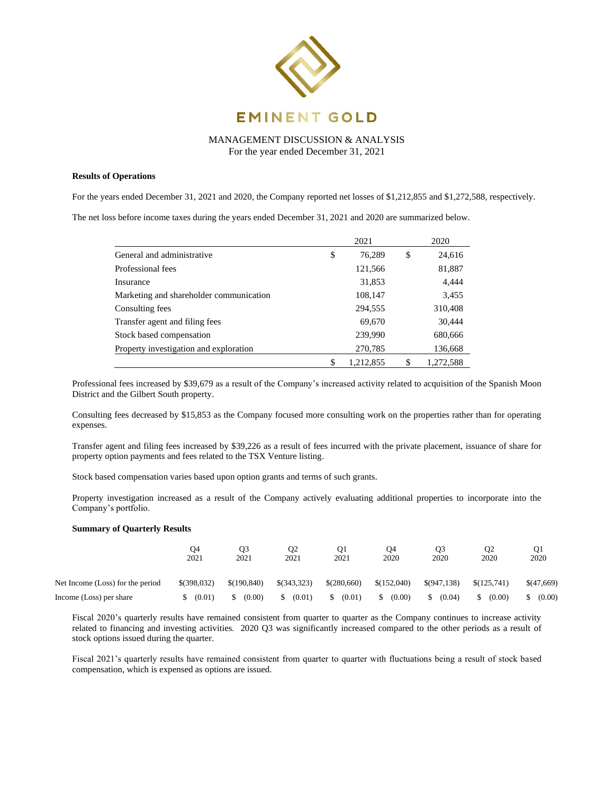

## **Results of Operations**

For the years ended December 31, 2021 and 2020, the Company reported net losses of \$1,212,855 and \$1,272,588, respectively.

The net loss before income taxes during the years ended December 31, 2021 and 2020 are summarized below.

|                                         | 2021    |           |    | 2020      |
|-----------------------------------------|---------|-----------|----|-----------|
| General and administrative              | \$      | 76,289    | \$ | 24,616    |
| Professional fees                       |         | 121,566   |    | 81,887    |
| Insurance                               |         | 31,853    |    | 4,444     |
| Marketing and shareholder communication |         | 108,147   |    | 3,455     |
| Consulting fees                         | 294,555 |           |    | 310,408   |
| Transfer agent and filing fees          |         | 69,670    |    | 30,444    |
| Stock based compensation                |         | 239,990   |    | 680,666   |
| Property investigation and exploration  |         | 270,785   |    | 136,668   |
|                                         | S       | 1,212,855 | \$ | 1,272,588 |

Professional fees increased by \$39,679 as a result of the Company's increased activity related to acquisition of the Spanish Moon District and the Gilbert South property.

Consulting fees decreased by \$15,853 as the Company focused more consulting work on the properties rather than for operating expenses.

Transfer agent and filing fees increased by \$39,226 as a result of fees incurred with the private placement, issuance of share for property option payments and fees related to the TSX Venture listing.

Stock based compensation varies based upon option grants and terms of such grants.

Property investigation increased as a result of the Company actively evaluating additional properties to incorporate into the Company's portfolio.

## **Summary of Quarterly Results**

|                                  | O4<br>2021    | O3<br>2021  | О2<br>2021  | Q1<br>2021  | 04<br>2020   | Q3<br>2020  | O <sub>2</sub><br>2020 | O1<br>2020 |
|----------------------------------|---------------|-------------|-------------|-------------|--------------|-------------|------------------------|------------|
| Net Income (Loss) for the period | $$$ (398,032) | \$(190.840) | \$(343,323) | \$(280,660) | \$(152,040)  | \$(947,138) | \$(125.741)            | \$(47,669) |
| Income (Loss) per share          | (0.01)        | (0.00)      | (0.01)      | (0.01)      | (0.00)<br>\$ | (0.04)      | (0.00)                 | (0.00)     |

Fiscal 2020's quarterly results have remained consistent from quarter to quarter as the Company continues to increase activity related to financing and investing activities. 2020 Q3 was significantly increased compared to the other periods as a result of stock options issued during the quarter.

Fiscal 2021's quarterly results have remained consistent from quarter to quarter with fluctuations being a result of stock based compensation, which is expensed as options are issued.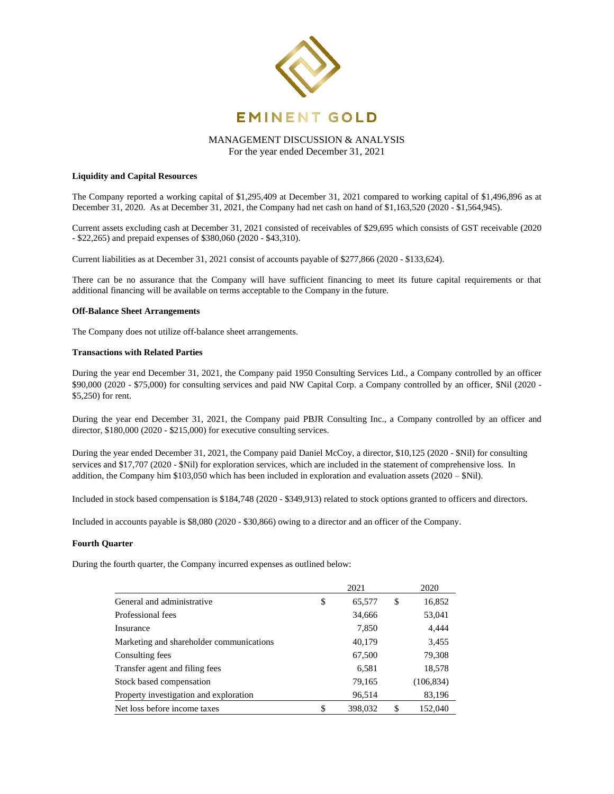

## **Liquidity and Capital Resources**

The Company reported a working capital of \$1,295,409 at December 31, 2021 compared to working capital of \$1,496,896 as at December 31, 2020. As at December 31, 2021, the Company had net cash on hand of \$1,163,520 (2020 - \$1,564,945).

Current assets excluding cash at December 31, 2021 consisted of receivables of \$29,695 which consists of GST receivable (2020 - \$22,265) and prepaid expenses of \$380,060 (2020 - \$43,310).

Current liabilities as at December 31, 2021 consist of accounts payable of \$277,866 (2020 - \$133,624).

There can be no assurance that the Company will have sufficient financing to meet its future capital requirements or that additional financing will be available on terms acceptable to the Company in the future.

## **Off-Balance Sheet Arrangements**

The Company does not utilize off-balance sheet arrangements.

## **Transactions with Related Parties**

During the year end December 31, 2021, the Company paid 1950 Consulting Services Ltd., a Company controlled by an officer \$90,000 (2020 - \$75,000) for consulting services and paid NW Capital Corp. a Company controlled by an officer, \$Nil (2020 - \$5,250) for rent.

During the year end December 31, 2021, the Company paid PBJR Consulting Inc., a Company controlled by an officer and director, \$180,000 (2020 - \$215,000) for executive consulting services.

During the year ended December 31, 2021, the Company paid Daniel McCoy, a director, \$10,125 (2020 - \$Nil) for consulting services and \$17,707 (2020 - \$Nil) for exploration services, which are included in the statement of comprehensive loss. In addition, the Company him  $$103,050$  which has been included in exploration and evaluation assets (2020 –  $$Nil$ ).

Included in stock based compensation is \$184,748 (2020 - \$349,913) related to stock options granted to officers and directors.

Included in accounts payable is \$8,080 (2020 - \$30,866) owing to a director and an officer of the Company.

## **Fourth Quarter**

During the fourth quarter, the Company incurred expenses as outlined below:

|                                          | 2021 |         |    | 2020       |
|------------------------------------------|------|---------|----|------------|
| General and administrative               | \$   | 65,577  | \$ | 16,852     |
| Professional fees                        |      | 34,666  |    | 53,041     |
| Insurance                                |      | 7,850   |    | 4,444      |
| Marketing and shareholder communications |      | 40,179  |    | 3,455      |
| Consulting fees                          |      | 67,500  |    | 79,308     |
| Transfer agent and filing fees           |      | 6,581   |    | 18,578     |
| Stock based compensation                 |      | 79,165  |    | (106, 834) |
| Property investigation and exploration   |      | 96,514  |    | 83,196     |
| Net loss before income taxes             |      | 398,032 | S  | 152,040    |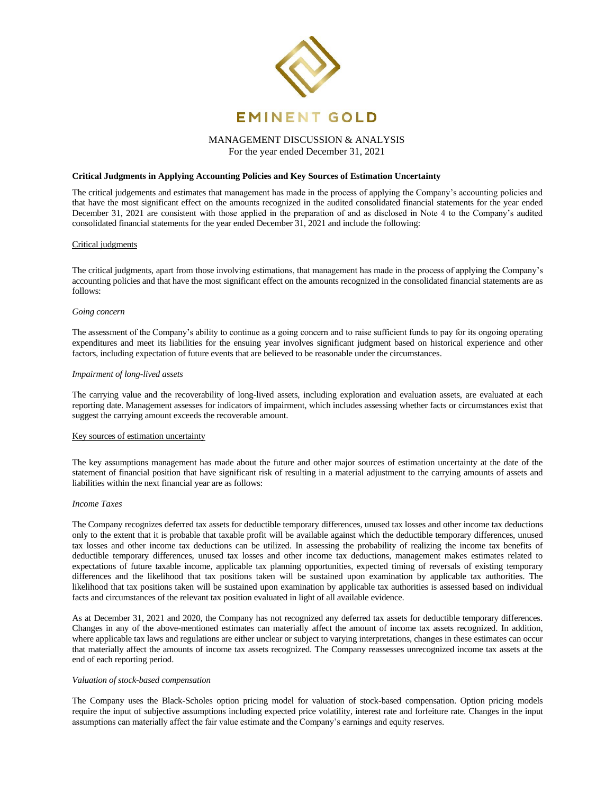

# **Critical Judgments in Applying Accounting Policies and Key Sources of Estimation Uncertainty**

The critical judgements and estimates that management has made in the process of applying the Company's accounting policies and that have the most significant effect on the amounts recognized in the audited consolidated financial statements for the year ended December 31, 2021 are consistent with those applied in the preparation of and as disclosed in Note 4 to the Company's audited consolidated financial statements for the year ended December 31, 2021 and include the following:

## Critical judgments

The critical judgments, apart from those involving estimations, that management has made in the process of applying the Company's accounting policies and that have the most significant effect on the amounts recognized in the consolidated financial statements are as follows:

#### *Going concern*

The assessment of the Company's ability to continue as a going concern and to raise sufficient funds to pay for its ongoing operating expenditures and meet its liabilities for the ensuing year involves significant judgment based on historical experience and other factors, including expectation of future events that are believed to be reasonable under the circumstances.

## *Impairment of long-lived assets*

The carrying value and the recoverability of long-lived assets, including exploration and evaluation assets, are evaluated at each reporting date. Management assesses for indicators of impairment, which includes assessing whether facts or circumstances exist that suggest the carrying amount exceeds the recoverable amount.

## Key sources of estimation uncertainty

The key assumptions management has made about the future and other major sources of estimation uncertainty at the date of the statement of financial position that have significant risk of resulting in a material adjustment to the carrying amounts of assets and liabilities within the next financial year are as follows:

#### *Income Taxes*

The Company recognizes deferred tax assets for deductible temporary differences, unused tax losses and other income tax deductions only to the extent that it is probable that taxable profit will be available against which the deductible temporary differences, unused tax losses and other income tax deductions can be utilized. In assessing the probability of realizing the income tax benefits of deductible temporary differences, unused tax losses and other income tax deductions, management makes estimates related to expectations of future taxable income, applicable tax planning opportunities, expected timing of reversals of existing temporary differences and the likelihood that tax positions taken will be sustained upon examination by applicable tax authorities. The likelihood that tax positions taken will be sustained upon examination by applicable tax authorities is assessed based on individual facts and circumstances of the relevant tax position evaluated in light of all available evidence.

As at December 31, 2021 and 2020, the Company has not recognized any deferred tax assets for deductible temporary differences. Changes in any of the above-mentioned estimates can materially affect the amount of income tax assets recognized. In addition, where applicable tax laws and regulations are either unclear or subject to varying interpretations, changes in these estimates can occur that materially affect the amounts of income tax assets recognized. The Company reassesses unrecognized income tax assets at the end of each reporting period.

#### *Valuation of stock-based compensation*

The Company uses the Black-Scholes option pricing model for valuation of stock-based compensation. Option pricing models require the input of subjective assumptions including expected price volatility, interest rate and forfeiture rate. Changes in the input assumptions can materially affect the fair value estimate and the Company's earnings and equity reserves.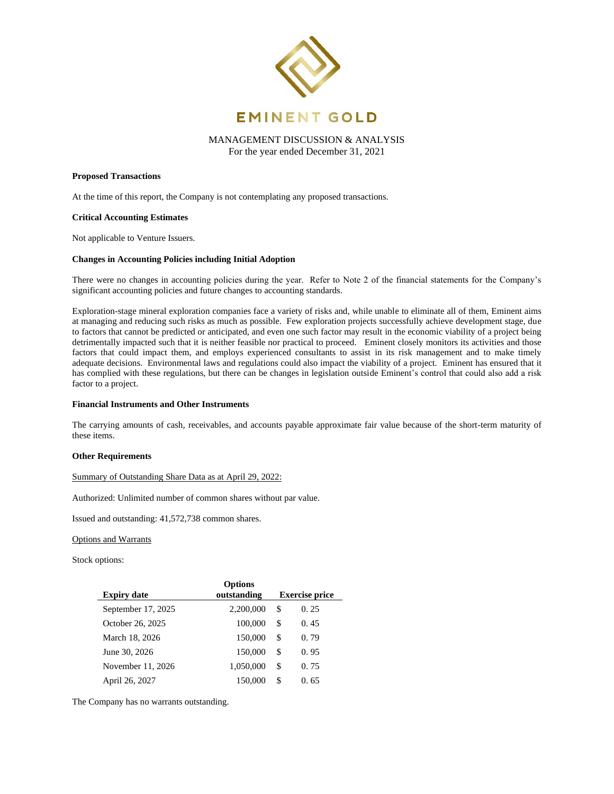

#### **Proposed Transactions**

At the time of this report, the Company is not contemplating any proposed transactions.

#### **Critical Accounting Estimates**

Not applicable to Venture Issuers.

#### **Changes in Accounting Policies including Initial Adoption**

There were no changes in accounting policies during the year. Refer to Note 2 of the financial statements for the Company's significant accounting policies and future changes to accounting standards.

Exploration-stage mineral exploration companies face a variety of risks and, while unable to eliminate all of them, Eminent aims at managing and reducing such risks as much as possible. Few exploration projects successfully achieve development stage, due to factors that cannot be predicted or anticipated, and even one such factor may result in the economic viability of a project being detrimentally impacted such that it is neither feasible nor practical to proceed. Eminent closely monitors its activities and those factors that could impact them, and employs experienced consultants to assist in its risk management and to make timely adequate decisions. Environmental laws and regulations could also impact the viability of a project. Eminent has ensured that it has complied with these regulations, but there can be changes in legislation outside Eminent's control that could also add a risk factor to a project.

#### **Financial Instruments and Other Instruments**

The carrying amounts of cash, receivables, and accounts payable approximate fair value because of the short-term maturity of these items.

## **Other Requirements**

Summary of Outstanding Share Data as at April 29, 2022:

Authorized: Unlimited number of common shares without par value.

Issued and outstanding: 41,572,738 common shares.

#### Options and Warrants

Stock options:

|                    | <b>Options</b> |                       |      |  |
|--------------------|----------------|-----------------------|------|--|
| <b>Expiry date</b> | outstanding    | <b>Exercise price</b> |      |  |
| September 17, 2025 | 2,200,000      | \$                    | 0.25 |  |
| October 26, 2025   | 100,000        | S                     | 0.45 |  |
| March 18, 2026     | 150,000        | S                     | 0.79 |  |
| June 30, 2026      | 150,000        | \$                    | 0.95 |  |
| November 11, 2026  | 1,050,000      | \$                    | 0.75 |  |
| April 26, 2027     | 150,000        | \$.                   | 0.65 |  |

The Company has no warrants outstanding.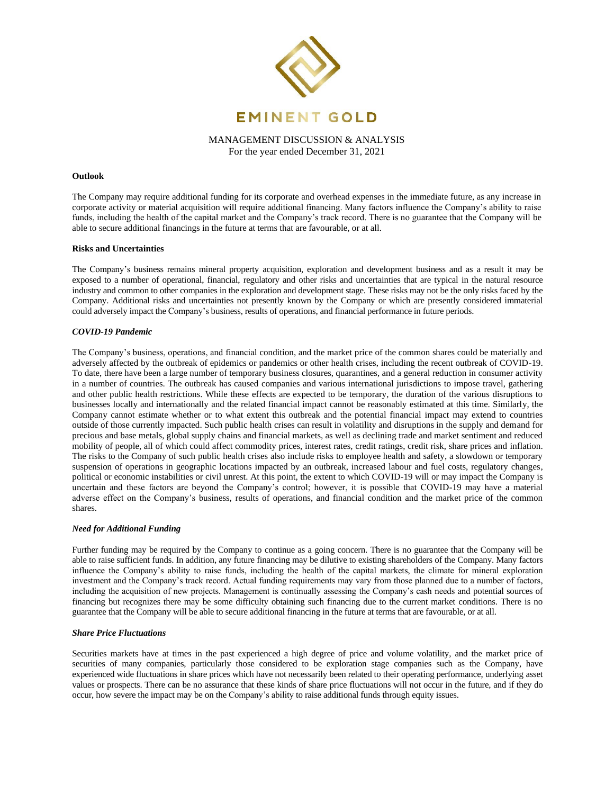

## **Outlook**

The Company may require additional funding for its corporate and overhead expenses in the immediate future, as any increase in corporate activity or material acquisition will require additional financing. Many factors influence the Company's ability to raise funds, including the health of the capital market and the Company's track record. There is no guarantee that the Company will be able to secure additional financings in the future at terms that are favourable, or at all.

#### **Risks and Uncertainties**

The Company's business remains mineral property acquisition, exploration and development business and as a result it may be exposed to a number of operational, financial, regulatory and other risks and uncertainties that are typical in the natural resource industry and common to other companies in the exploration and development stage. These risks may not be the only risks faced by the Company. Additional risks and uncertainties not presently known by the Company or which are presently considered immaterial could adversely impact the Company's business, results of operations, and financial performance in future periods.

## *COVID-19 Pandemic*

The Company's business, operations, and financial condition, and the market price of the common shares could be materially and adversely affected by the outbreak of epidemics or pandemics or other health crises, including the recent outbreak of COVID-19. To date, there have been a large number of temporary business closures, quarantines, and a general reduction in consumer activity in a number of countries. The outbreak has caused companies and various international jurisdictions to impose travel, gathering and other public health restrictions. While these effects are expected to be temporary, the duration of the various disruptions to businesses locally and internationally and the related financial impact cannot be reasonably estimated at this time. Similarly, the Company cannot estimate whether or to what extent this outbreak and the potential financial impact may extend to countries outside of those currently impacted. Such public health crises can result in volatility and disruptions in the supply and demand for precious and base metals, global supply chains and financial markets, as well as declining trade and market sentiment and reduced mobility of people, all of which could affect commodity prices, interest rates, credit ratings, credit risk, share prices and inflation. The risks to the Company of such public health crises also include risks to employee health and safety, a slowdown or temporary suspension of operations in geographic locations impacted by an outbreak, increased labour and fuel costs, regulatory changes, political or economic instabilities or civil unrest. At this point, the extent to which COVID-19 will or may impact the Company is uncertain and these factors are beyond the Company's control; however, it is possible that COVID-19 may have a material adverse effect on the Company's business, results of operations, and financial condition and the market price of the common shares.

## *Need for Additional Funding*

Further funding may be required by the Company to continue as a going concern. There is no guarantee that the Company will be able to raise sufficient funds. In addition, any future financing may be dilutive to existing shareholders of the Company. Many factors influence the Company's ability to raise funds, including the health of the capital markets, the climate for mineral exploration investment and the Company's track record. Actual funding requirements may vary from those planned due to a number of factors, including the acquisition of new projects. Management is continually assessing the Company's cash needs and potential sources of financing but recognizes there may be some difficulty obtaining such financing due to the current market conditions. There is no guarantee that the Company will be able to secure additional financing in the future at terms that are favourable, or at all.

#### *Share Price Fluctuations*

Securities markets have at times in the past experienced a high degree of price and volume volatility, and the market price of securities of many companies, particularly those considered to be exploration stage companies such as the Company, have experienced wide fluctuations in share prices which have not necessarily been related to their operating performance, underlying asset values or prospects. There can be no assurance that these kinds of share price fluctuations will not occur in the future, and if they do occur, how severe the impact may be on the Company's ability to raise additional funds through equity issues.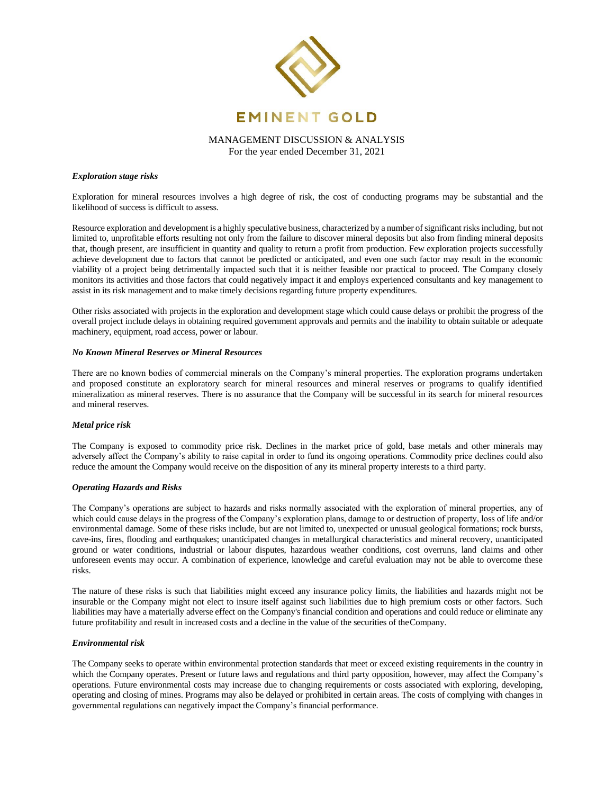

## *Exploration stage risks*

Exploration for mineral resources involves a high degree of risk, the cost of conducting programs may be substantial and the likelihood of success is difficult to assess.

Resource exploration and development is a highly speculative business, characterized by a number of significant risks including, but not limited to, unprofitable efforts resulting not only from the failure to discover mineral deposits but also from finding mineral deposits that, though present, are insufficient in quantity and quality to return a profit from production. Few exploration projects successfully achieve development due to factors that cannot be predicted or anticipated, and even one such factor may result in the economic viability of a project being detrimentally impacted such that it is neither feasible nor practical to proceed. The Company closely monitors its activities and those factors that could negatively impact it and employs experienced consultants and key management to assist in its risk management and to make timely decisions regarding future property expenditures.

Other risks associated with projects in the exploration and development stage which could cause delays or prohibit the progress of the overall project include delays in obtaining required government approvals and permits and the inability to obtain suitable or adequate machinery, equipment, road access, power or labour.

## *No Known Mineral Reserves or Mineral Resources*

There are no known bodies of commercial minerals on the Company's mineral properties. The exploration programs undertaken and proposed constitute an exploratory search for mineral resources and mineral reserves or programs to qualify identified mineralization as mineral reserves. There is no assurance that the Company will be successful in its search for mineral resources and mineral reserves.

## *Metal price risk*

The Company is exposed to commodity price risk. Declines in the market price of gold, base metals and other minerals may adversely affect the Company's ability to raise capital in order to fund its ongoing operations. Commodity price declines could also reduce the amount the Company would receive on the disposition of any its mineral property interests to a third party.

#### *Operating Hazards and Risks*

The Company's operations are subject to hazards and risks normally associated with the exploration of mineral properties, any of which could cause delays in the progress of the Company's exploration plans, damage to or destruction of property, loss of life and/or environmental damage. Some of these risks include, but are not limited to, unexpected or unusual geological formations; rock bursts, cave-ins, fires, flooding and earthquakes; unanticipated changes in metallurgical characteristics and mineral recovery, unanticipated ground or water conditions, industrial or labour disputes, hazardous weather conditions, cost overruns, land claims and other unforeseen events may occur. A combination of experience, knowledge and careful evaluation may not be able to overcome these risks.

The nature of these risks is such that liabilities might exceed any insurance policy limits, the liabilities and hazards might not be insurable or the Company might not elect to insure itself against such liabilities due to high premium costs or other factors. Such liabilities may have a materially adverse effect on the Company's financial condition and operations and could reduce or eliminate any future profitability and result in increased costs and a decline in the value of the securities of theCompany.

## *Environmental risk*

The Company seeks to operate within environmental protection standards that meet or exceed existing requirements in the country in which the Company operates. Present or future laws and regulations and third party opposition, however, may affect the Company's operations. Future environmental costs may increase due to changing requirements or costs associated with exploring, developing, operating and closing of mines. Programs may also be delayed or prohibited in certain areas. The costs of complying with changes in governmental regulations can negatively impact the Company's financial performance.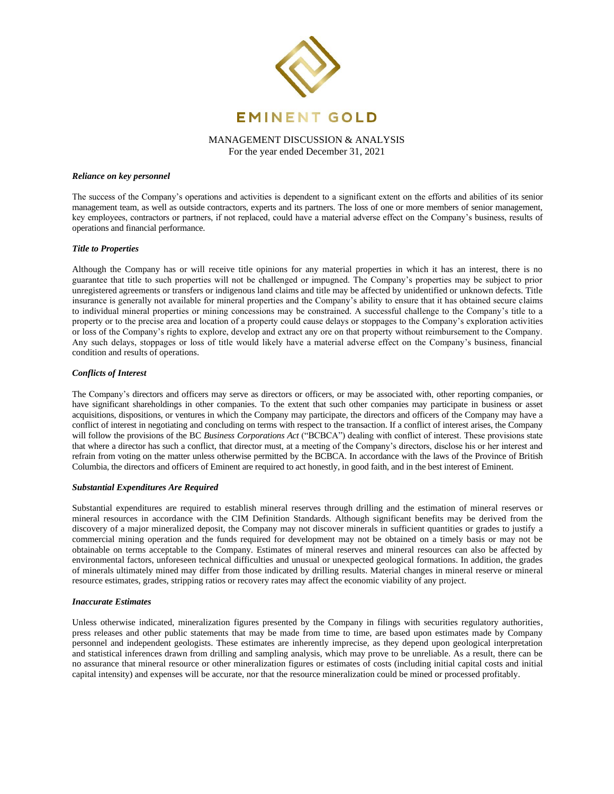

#### *Reliance on key personnel*

The success of the Company's operations and activities is dependent to a significant extent on the efforts and abilities of its senior management team, as well as outside contractors, experts and its partners. The loss of one or more members of senior management, key employees, contractors or partners, if not replaced, could have a material adverse effect on the Company's business, results of operations and financial performance.

## *Title to Properties*

Although the Company has or will receive title opinions for any material properties in which it has an interest, there is no guarantee that title to such properties will not be challenged or impugned. The Company's properties may be subject to prior unregistered agreements or transfers or indigenous land claims and title may be affected by unidentified or unknown defects. Title insurance is generally not available for mineral properties and the Company's ability to ensure that it has obtained secure claims to individual mineral properties or mining concessions may be constrained. A successful challenge to the Company's title to a property or to the precise area and location of a property could cause delays or stoppages to the Company's exploration activities or loss of the Company's rights to explore, develop and extract any ore on that property without reimbursement to the Company. Any such delays, stoppages or loss of title would likely have a material adverse effect on the Company's business, financial condition and results of operations.

#### *Conflicts of Interest*

The Company's directors and officers may serve as directors or officers, or may be associated with, other reporting companies, or have significant shareholdings in other companies. To the extent that such other companies may participate in business or asset acquisitions, dispositions, or ventures in which the Company may participate, the directors and officers of the Company may have a conflict of interest in negotiating and concluding on terms with respect to the transaction. If a conflict of interest arises, the Company will follow the provisions of the BC *Business Corporations Act* ("BCBCA") dealing with conflict of interest. These provisions state that where a director has such a conflict, that director must, at a meeting of the Company's directors, disclose his or her interest and refrain from voting on the matter unless otherwise permitted by the BCBCA. In accordance with the laws of the Province of British Columbia, the directors and officers of Eminent are required to act honestly, in good faith, and in the best interest of Eminent.

## *Substantial Expenditures Are Required*

Substantial expenditures are required to establish mineral reserves through drilling and the estimation of mineral reserves or mineral resources in accordance with the CIM Definition Standards. Although significant benefits may be derived from the discovery of a major mineralized deposit, the Company may not discover minerals in sufficient quantities or grades to justify a commercial mining operation and the funds required for development may not be obtained on a timely basis or may not be obtainable on terms acceptable to the Company. Estimates of mineral reserves and mineral resources can also be affected by environmental factors, unforeseen technical difficulties and unusual or unexpected geological formations. In addition, the grades of minerals ultimately mined may differ from those indicated by drilling results. Material changes in mineral reserve or mineral resource estimates, grades, stripping ratios or recovery rates may affect the economic viability of any project.

#### *Inaccurate Estimates*

Unless otherwise indicated, mineralization figures presented by the Company in filings with securities regulatory authorities, press releases and other public statements that may be made from time to time, are based upon estimates made by Company personnel and independent geologists. These estimates are inherently imprecise, as they depend upon geological interpretation and statistical inferences drawn from drilling and sampling analysis, which may prove to be unreliable. As a result, there can be no assurance that mineral resource or other mineralization figures or estimates of costs (including initial capital costs and initial capital intensity) and expenses will be accurate, nor that the resource mineralization could be mined or processed profitably.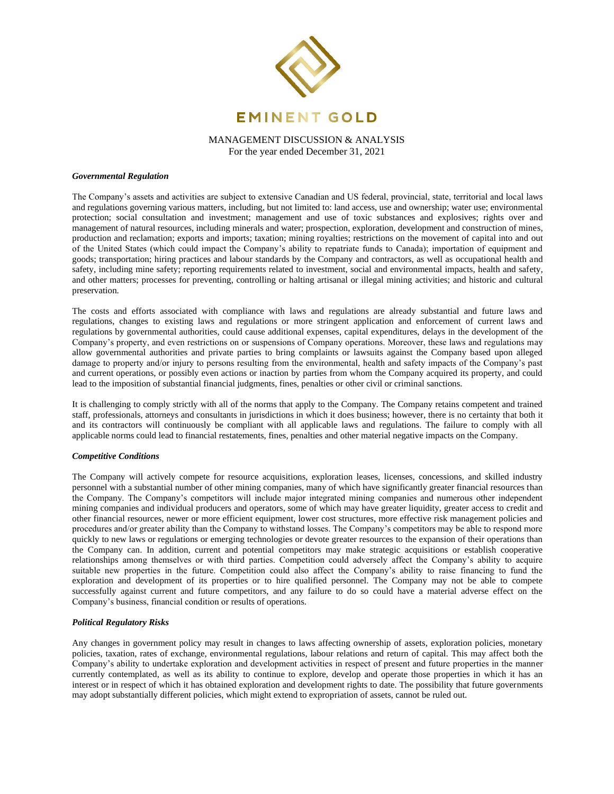

## *Governmental Regulation*

The Company's assets and activities are subject to extensive Canadian and US federal, provincial, state, territorial and local laws and regulations governing various matters, including, but not limited to: land access, use and ownership; water use; environmental protection; social consultation and investment; management and use of toxic substances and explosives; rights over and management of natural resources, including minerals and water; prospection, exploration, development and construction of mines, production and reclamation; exports and imports; taxation; mining royalties; restrictions on the movement of capital into and out of the United States (which could impact the Company's ability to repatriate funds to Canada); importation of equipment and goods; transportation; hiring practices and labour standards by the Company and contractors, as well as occupational health and safety, including mine safety; reporting requirements related to investment, social and environmental impacts, health and safety, and other matters; processes for preventing, controlling or halting artisanal or illegal mining activities; and historic and cultural preservation.

The costs and efforts associated with compliance with laws and regulations are already substantial and future laws and regulations, changes to existing laws and regulations or more stringent application and enforcement of current laws and regulations by governmental authorities, could cause additional expenses, capital expenditures, delays in the development of the Company's property, and even restrictions on or suspensions of Company operations. Moreover, these laws and regulations may allow governmental authorities and private parties to bring complaints or lawsuits against the Company based upon alleged damage to property and/or injury to persons resulting from the environmental, health and safety impacts of the Company's past and current operations, or possibly even actions or inaction by parties from whom the Company acquired its property, and could lead to the imposition of substantial financial judgments, fines, penalties or other civil or criminal sanctions.

It is challenging to comply strictly with all of the norms that apply to the Company. The Company retains competent and trained staff, professionals, attorneys and consultants in jurisdictions in which it does business; however, there is no certainty that both it and its contractors will continuously be compliant with all applicable laws and regulations. The failure to comply with all applicable norms could lead to financial restatements, fines, penalties and other material negative impacts on the Company.

## *Competitive Conditions*

The Company will actively compete for resource acquisitions, exploration leases, licenses, concessions, and skilled industry personnel with a substantial number of other mining companies, many of which have significantly greater financial resources than the Company. The Company's competitors will include major integrated mining companies and numerous other independent mining companies and individual producers and operators, some of which may have greater liquidity, greater access to credit and other financial resources, newer or more efficient equipment, lower cost structures, more effective risk management policies and procedures and/or greater ability than the Company to withstand losses. The Company's competitors may be able to respond more quickly to new laws or regulations or emerging technologies or devote greater resources to the expansion of their operations than the Company can. In addition, current and potential competitors may make strategic acquisitions or establish cooperative relationships among themselves or with third parties. Competition could adversely affect the Company's ability to acquire suitable new properties in the future. Competition could also affect the Company's ability to raise financing to fund the exploration and development of its properties or to hire qualified personnel. The Company may not be able to compete successfully against current and future competitors, and any failure to do so could have a material adverse effect on the Company's business, financial condition or results of operations.

## *Political Regulatory Risks*

Any changes in government policy may result in changes to laws affecting ownership of assets, exploration policies, monetary policies, taxation, rates of exchange, environmental regulations, labour relations and return of capital. This may affect both the Company's ability to undertake exploration and development activities in respect of present and future properties in the manner currently contemplated, as well as its ability to continue to explore, develop and operate those properties in which it has an interest or in respect of which it has obtained exploration and development rights to date. The possibility that future governments may adopt substantially different policies, which might extend to expropriation of assets, cannot be ruled out.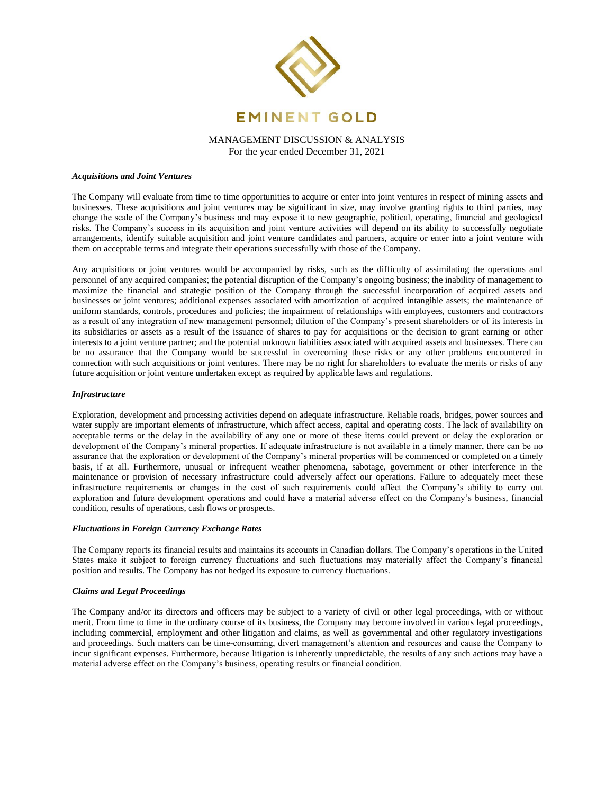

## *Acquisitions and Joint Ventures*

The Company will evaluate from time to time opportunities to acquire or enter into joint ventures in respect of mining assets and businesses. These acquisitions and joint ventures may be significant in size, may involve granting rights to third parties, may change the scale of the Company's business and may expose it to new geographic, political, operating, financial and geological risks. The Company's success in its acquisition and joint venture activities will depend on its ability to successfully negotiate arrangements, identify suitable acquisition and joint venture candidates and partners, acquire or enter into a joint venture with them on acceptable terms and integrate their operations successfully with those of the Company.

Any acquisitions or joint ventures would be accompanied by risks, such as the difficulty of assimilating the operations and personnel of any acquired companies; the potential disruption of the Company's ongoing business; the inability of management to maximize the financial and strategic position of the Company through the successful incorporation of acquired assets and businesses or joint ventures; additional expenses associated with amortization of acquired intangible assets; the maintenance of uniform standards, controls, procedures and policies; the impairment of relationships with employees, customers and contractors as a result of any integration of new management personnel; dilution of the Company's present shareholders or of its interests in its subsidiaries or assets as a result of the issuance of shares to pay for acquisitions or the decision to grant earning or other interests to a joint venture partner; and the potential unknown liabilities associated with acquired assets and businesses. There can be no assurance that the Company would be successful in overcoming these risks or any other problems encountered in connection with such acquisitions or joint ventures. There may be no right for shareholders to evaluate the merits or risks of any future acquisition or joint venture undertaken except as required by applicable laws and regulations.

## *Infrastructure*

Exploration, development and processing activities depend on adequate infrastructure. Reliable roads, bridges, power sources and water supply are important elements of infrastructure, which affect access, capital and operating costs. The lack of availability on acceptable terms or the delay in the availability of any one or more of these items could prevent or delay the exploration or development of the Company's mineral properties. If adequate infrastructure is not available in a timely manner, there can be no assurance that the exploration or development of the Company's mineral properties will be commenced or completed on a timely basis, if at all. Furthermore, unusual or infrequent weather phenomena, sabotage, government or other interference in the maintenance or provision of necessary infrastructure could adversely affect our operations. Failure to adequately meet these infrastructure requirements or changes in the cost of such requirements could affect the Company's ability to carry out exploration and future development operations and could have a material adverse effect on the Company's business, financial condition, results of operations, cash flows or prospects.

#### *Fluctuations in Foreign Currency Exchange Rates*

The Company reports its financial results and maintains its accounts in Canadian dollars. The Company's operations in the United States make it subject to foreign currency fluctuations and such fluctuations may materially affect the Company's financial position and results. The Company has not hedged its exposure to currency fluctuations.

## *Claims and Legal Proceedings*

The Company and/or its directors and officers may be subject to a variety of civil or other legal proceedings, with or without merit. From time to time in the ordinary course of its business, the Company may become involved in various legal proceedings, including commercial, employment and other litigation and claims, as well as governmental and other regulatory investigations and proceedings. Such matters can be time-consuming, divert management's attention and resources and cause the Company to incur significant expenses. Furthermore, because litigation is inherently unpredictable, the results of any such actions may have a material adverse effect on the Company's business, operating results or financial condition.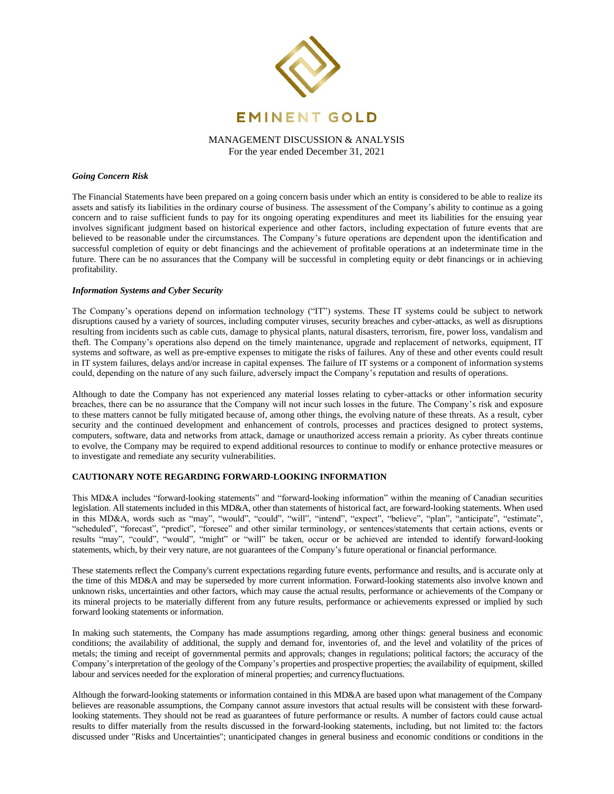

## *Going Concern Risk*

The Financial Statements have been prepared on a going concern basis under which an entity is considered to be able to realize its assets and satisfy its liabilities in the ordinary course of business. The assessment of the Company's ability to continue as a going concern and to raise sufficient funds to pay for its ongoing operating expenditures and meet its liabilities for the ensuing year involves significant judgment based on historical experience and other factors, including expectation of future events that are believed to be reasonable under the circumstances. The Company's future operations are dependent upon the identification and successful completion of equity or debt financings and the achievement of profitable operations at an indeterminate time in the future. There can be no assurances that the Company will be successful in completing equity or debt financings or in achieving profitability.

## *Information Systems and Cyber Security*

The Company's operations depend on information technology ("IT") systems. These IT systems could be subject to network disruptions caused by a variety of sources, including computer viruses, security breaches and cyber-attacks, as well as disruptions resulting from incidents such as cable cuts, damage to physical plants, natural disasters, terrorism, fire, power loss, vandalism and theft. The Company's operations also depend on the timely maintenance, upgrade and replacement of networks, equipment, IT systems and software, as well as pre-emptive expenses to mitigate the risks of failures. Any of these and other events could result in IT system failures, delays and/or increase in capital expenses. The failure of IT systems or a component of information systems could, depending on the nature of any such failure, adversely impact the Company's reputation and results of operations.

Although to date the Company has not experienced any material losses relating to cyber-attacks or other information security breaches, there can be no assurance that the Company will not incur such losses in the future. The Company's risk and exposure to these matters cannot be fully mitigated because of, among other things, the evolving nature of these threats. As a result, cyber security and the continued development and enhancement of controls, processes and practices designed to protect systems, computers, software, data and networks from attack, damage or unauthorized access remain a priority. As cyber threats continue to evolve, the Company may be required to expend additional resources to continue to modify or enhance protective measures or to investigate and remediate any security vulnerabilities.

## **CAUTIONARY NOTE REGARDING FORWARD-LOOKING INFORMATION**

This MD&A includes "forward-looking statements" and "forward-looking information" within the meaning of Canadian securities legislation. All statements included in this MD&A, other than statements of historical fact, are forward-looking statements. When used in this MD&A, words such as "may", "would", "could", "will", "intend", "expect", "believe", "plan", "anticipate", "estimate", "scheduled", "forecast", "predict", "foresee" and other similar terminology, or sentences/statements that certain actions, events or results "may", "could", "would", "might" or "will" be taken, occur or be achieved are intended to identify forward-looking statements, which, by their very nature, are not guarantees of the Company's future operational or financial performance.

These statements reflect the Company's current expectations regarding future events, performance and results, and is accurate only at the time of this MD&A and may be superseded by more current information. Forward-looking statements also involve known and unknown risks, uncertainties and other factors, which may cause the actual results, performance or achievements of the Company or its mineral projects to be materially different from any future results, performance or achievements expressed or implied by such forward looking statements or information.

In making such statements, the Company has made assumptions regarding, among other things: general business and economic conditions; the availability of additional, the supply and demand for, inventories of, and the level and volatility of the prices of metals; the timing and receipt of governmental permits and approvals; changes in regulations; political factors; the accuracy of the Company's interpretation of the geology of the Company's properties and prospective properties; the availability of equipment, skilled labour and services needed for the exploration of mineral properties; and currencyfluctuations.

Although the forward-looking statements or information contained in this MD&A are based upon what management of the Company believes are reasonable assumptions, the Company cannot assure investors that actual results will be consistent with these forwardlooking statements. They should not be read as guarantees of future performance or results. A number of factors could cause actual results to differ materially from the results discussed in the forward-looking statements, including, but not limited to: the factors discussed under "Risks and Uncertainties"; unanticipated changes in general business and economic conditions or conditions in the